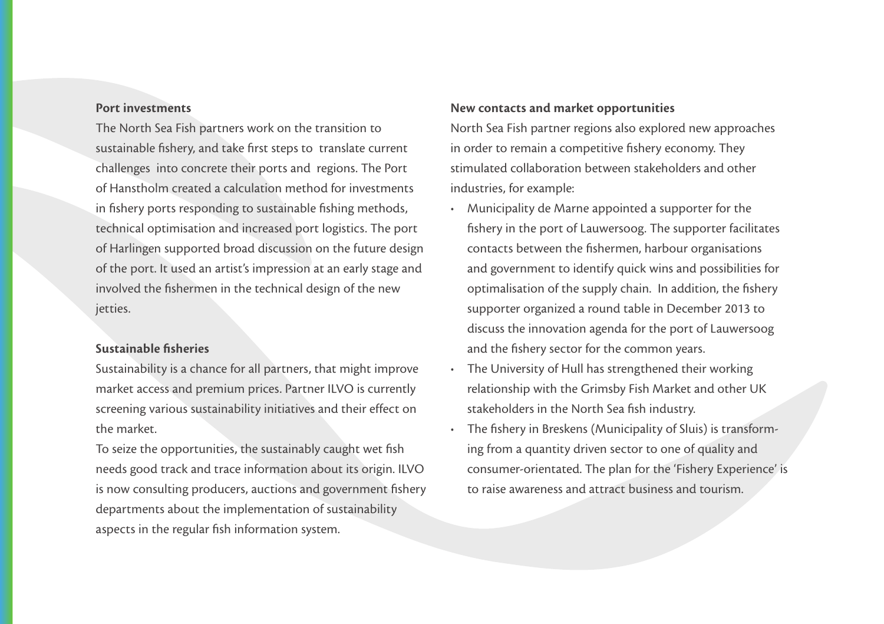## Port investments

The North Sea Fish partners work on the transition to sustainable fishery, and take first steps to translate current challenges into concrete their ports and regions. The Port of Hanstholm created a calculation method for investments in fishery ports responding to sustainable fishing methods, technical optimisation and increased port logistics. The port of Harlingen supported broad discussion on the future design of the port. It used an artist's impression at an early stage and involved the fishermen in the technical design of the new jetties.

## Sustainable fisheries

Sustainability is a chance for all partners, that might improve market access and premium prices. Partner ILVO is currently screening various sustainability initiatives and their effect on the market.

To seize the opportunities, the sustainably caught wet fish needs good track and trace information about its origin. ILVO is now consulting producers, auctions and government fishery departments about the implementation of sustainability aspects in the regular fish information system.

## New contacts and market opportunities

North Sea Fish partner regions also explored new approaches in order to remain a competitive fishery economy. They stimulated collaboration between stakeholders and other industries, for example:

- • Municipality de Marne appointed a supporter for the fishery in the port of Lauwersoog. The supporter facilitates contacts between the fishermen, harbour organisations and government to identify quick wins and possibilities for optimalisation of the supply chain. In addition, the fishery supporter organized a round table in December 2013 to discuss the innovation agenda for the port of Lauwersoog and the fishery sector for the common years.
- The University of Hull has strengthened their working relationship with the Grimsby Fish Market and other UK stakeholders in the North Sea fish industry.
- The fishery in Breskens (Municipality of Sluis) is transforming from a quantity driven sector to one of quality and consumer-orientated. The plan for the 'Fishery Experience' is to raise awareness and attract business and tourism.